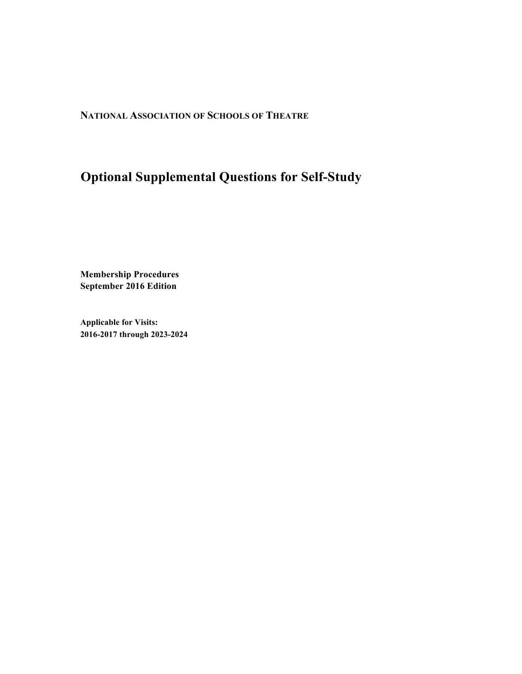**NATIONAL ASSOCIATION OF SCHOOLS OF THEATRE**

# **Optional Supplemental Questions for Self-Study**

**Membership Procedures September 2016 Edition**

**Applicable for Visits: 2016-2017 through 2023-2024**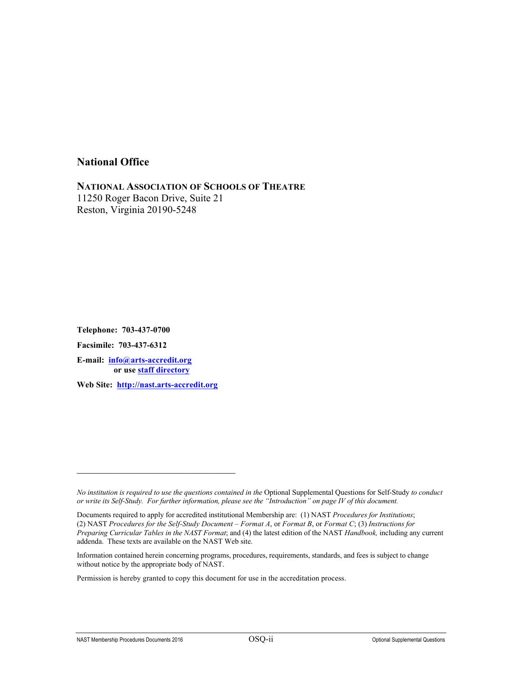### **National Office**

**NATIONAL ASSOCIATION OF SCHOOLS OF THEATRE** 11250 Roger Bacon Drive, Suite 21 Reston, Virginia 20190-5248

**Telephone: 703-437-0700 Facsimile: 703-437-6312 E-mail: info@arts-accredit.org or use staff directory**

**Web Site: http://nast.arts-accredit.org**

\_\_\_\_\_\_\_\_\_\_\_\_\_\_\_\_\_\_\_\_\_\_\_\_\_\_\_\_\_\_\_

*No institution is required to use the questions contained in the* Optional Supplemental Questions for Self-Study *to conduct or write its Self-Study. For further information, please see the "Introduction" on page IV of this document.*

Documents required to apply for accredited institutional Membership are: (1) NAST *Procedures for Institutions*; (2) NAST *Procedures for the Self-Study Document – Format A*, or *Format B*, or *Format C*; (3) *Instructions for Preparing Curricular Tables in the NAST Format*; and (4) the latest edition of the NAST *Handbook,* including any current addenda. These texts are available on the NAST Web site.

Information contained herein concerning programs, procedures, requirements, standards, and fees is subject to change without notice by the appropriate body of NAST.

Permission is hereby granted to copy this document for use in the accreditation process.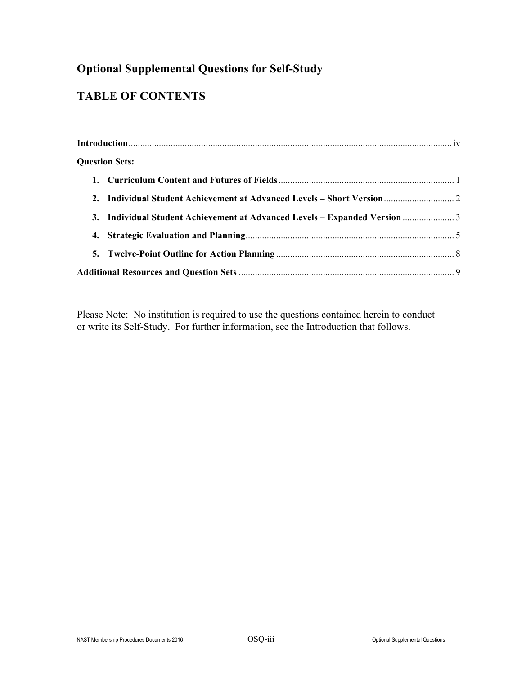# **Optional Supplemental Questions for Self-Study**

# **TABLE OF CONTENTS**

|  | <b>Question Sets:</b>                                                      |  |
|--|----------------------------------------------------------------------------|--|
|  |                                                                            |  |
|  |                                                                            |  |
|  | 3. Individual Student Achievement at Advanced Levels - Expanded Version  3 |  |
|  |                                                                            |  |
|  |                                                                            |  |
|  |                                                                            |  |

Please Note: No institution is required to use the questions contained herein to conduct or write its Self-Study. For further information, see the Introduction that follows.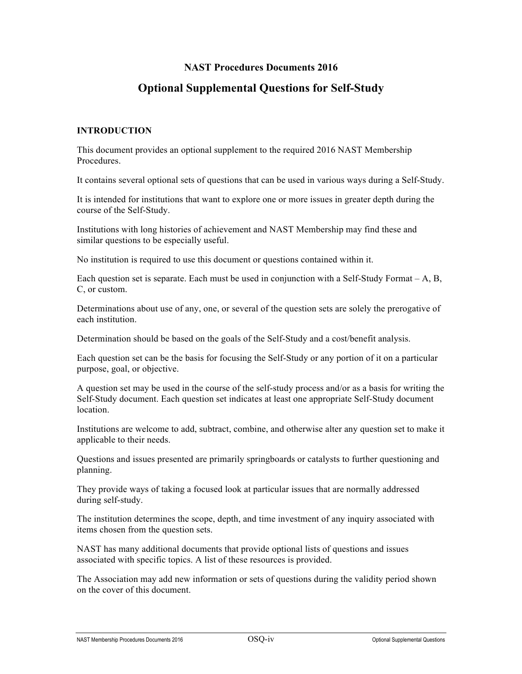### **NAST Procedures Documents 2016**

# **Optional Supplemental Questions for Self-Study**

#### **INTRODUCTION**

This document provides an optional supplement to the required 2016 NAST Membership Procedures.

It contains several optional sets of questions that can be used in various ways during a Self-Study.

It is intended for institutions that want to explore one or more issues in greater depth during the course of the Self-Study.

Institutions with long histories of achievement and NAST Membership may find these and similar questions to be especially useful.

No institution is required to use this document or questions contained within it.

Each question set is separate. Each must be used in conjunction with a Self-Study Format  $-A$ , B, C, or custom.

Determinations about use of any, one, or several of the question sets are solely the prerogative of each institution.

Determination should be based on the goals of the Self-Study and a cost/benefit analysis.

Each question set can be the basis for focusing the Self-Study or any portion of it on a particular purpose, goal, or objective.

A question set may be used in the course of the self-study process and/or as a basis for writing the Self-Study document. Each question set indicates at least one appropriate Self-Study document location.

Institutions are welcome to add, subtract, combine, and otherwise alter any question set to make it applicable to their needs.

Questions and issues presented are primarily springboards or catalysts to further questioning and planning.

They provide ways of taking a focused look at particular issues that are normally addressed during self-study.

The institution determines the scope, depth, and time investment of any inquiry associated with items chosen from the question sets.

NAST has many additional documents that provide optional lists of questions and issues associated with specific topics. A list of these resources is provided.

The Association may add new information or sets of questions during the validity period shown on the cover of this document.

NAST Membership Procedures Documents 2016 **OSO-iv** OSO-iv Optional Supplemental Questions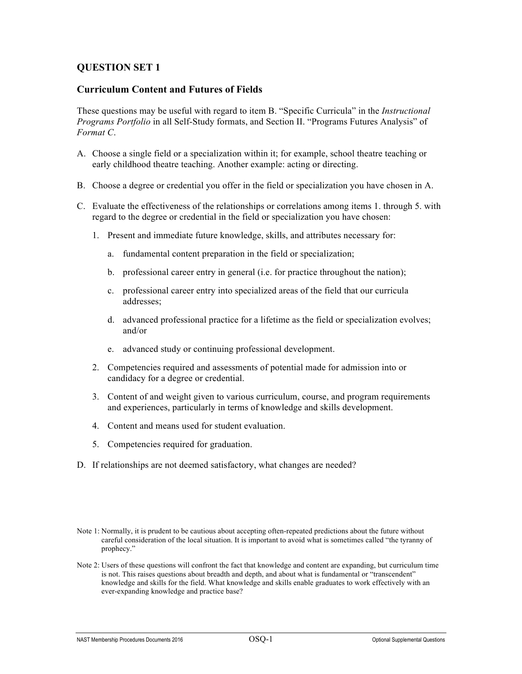### **Curriculum Content and Futures of Fields**

These questions may be useful with regard to item B. "Specific Curricula" in the *Instructional Programs Portfolio* in all Self-Study formats, and Section II. "Programs Futures Analysis" of *Format C*.

- A. Choose a single field or a specialization within it; for example, school theatre teaching or early childhood theatre teaching. Another example: acting or directing.
- B. Choose a degree or credential you offer in the field or specialization you have chosen in A.
- C. Evaluate the effectiveness of the relationships or correlations among items 1. through 5. with regard to the degree or credential in the field or specialization you have chosen:
	- 1. Present and immediate future knowledge, skills, and attributes necessary for:
		- a. fundamental content preparation in the field or specialization;
		- b. professional career entry in general (i.e. for practice throughout the nation);
		- c. professional career entry into specialized areas of the field that our curricula addresses;
		- d. advanced professional practice for a lifetime as the field or specialization evolves; and/or
		- e. advanced study or continuing professional development.
	- 2. Competencies required and assessments of potential made for admission into or candidacy for a degree or credential.
	- 3. Content of and weight given to various curriculum, course, and program requirements and experiences, particularly in terms of knowledge and skills development.
	- 4. Content and means used for student evaluation.
	- 5. Competencies required for graduation.
- D. If relationships are not deemed satisfactory, what changes are needed?

Note 1: Normally, it is prudent to be cautious about accepting often-repeated predictions about the future without careful consideration of the local situation. It is important to avoid what is sometimes called "the tyranny of prophecy."

Note 2: Users of these questions will confront the fact that knowledge and content are expanding, but curriculum time is not. This raises questions about breadth and depth, and about what is fundamental or "transcendent" knowledge and skills for the field. What knowledge and skills enable graduates to work effectively with an ever-expanding knowledge and practice base?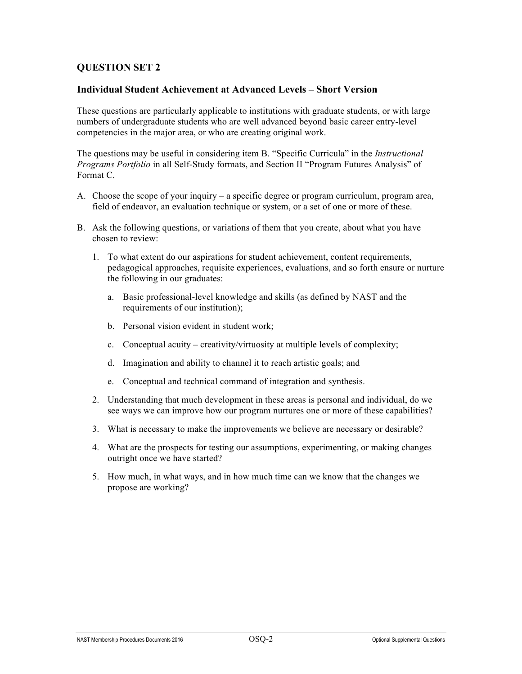# **Individual Student Achievement at Advanced Levels – Short Version**

These questions are particularly applicable to institutions with graduate students, or with large numbers of undergraduate students who are well advanced beyond basic career entry-level competencies in the major area, or who are creating original work.

The questions may be useful in considering item B. "Specific Curricula" in the *Instructional Programs Portfolio* in all Self-Study formats, and Section II "Program Futures Analysis" of Format C.

- A. Choose the scope of your inquiry a specific degree or program curriculum, program area, field of endeavor, an evaluation technique or system, or a set of one or more of these.
- B. Ask the following questions, or variations of them that you create, about what you have chosen to review:
	- 1. To what extent do our aspirations for student achievement, content requirements, pedagogical approaches, requisite experiences, evaluations, and so forth ensure or nurture the following in our graduates:
		- a. Basic professional-level knowledge and skills (as defined by NAST and the requirements of our institution);
		- b. Personal vision evident in student work;
		- c. Conceptual acuity creativity/virtuosity at multiple levels of complexity;
		- d. Imagination and ability to channel it to reach artistic goals; and
		- e. Conceptual and technical command of integration and synthesis.
	- 2. Understanding that much development in these areas is personal and individual, do we see ways we can improve how our program nurtures one or more of these capabilities?
	- 3. What is necessary to make the improvements we believe are necessary or desirable?
	- 4. What are the prospects for testing our assumptions, experimenting, or making changes outright once we have started?
	- 5. How much, in what ways, and in how much time can we know that the changes we propose are working?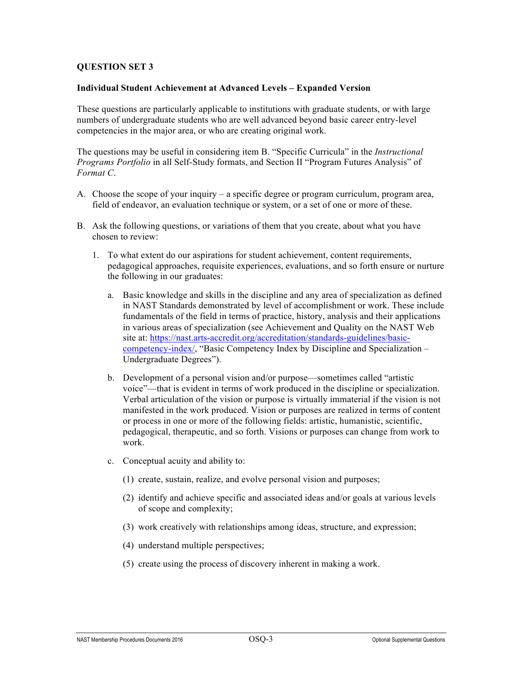#### **Individual Student Achievement at Advanced Levels – Expanded Version**

These questions are particularly applicable to institutions with graduate students, or with large numbers of undergraduate students who are well advanced beyond basic career entry-level competencies in the major area, or who are creating original work.

The questions may be useful in considering item B. "Specific Curricula" in the *Instructional Programs Portfolio* in all Self-Study formats, and Section II "Program Futures Analysis" of *Format C*.

- A. Choose the scope of your inquiry a specific degree or program curriculum, program area, field of endeavor, an evaluation technique or system, or a set of one or more of these.
- B. Ask the following questions, or variations of them that you create, about what you have chosen to review:
	- 1. To what extent do our aspirations for student achievement, content requirements, pedagogical approaches, requisite experiences, evaluations, and so forth ensure or nurture the following in our graduates:
		- a. Basic knowledge and skills in the discipline and any area of specialization as defined in NAST Standards demonstrated by level of accomplishment or work. These include fundamentals of the field in terms of practice, history, analysis and their applications in various areas of specialization (see Achievement and Quality on the NAST Web site at: https://nast.arts-accredit.org/accreditation/standards-guidelines/basiccompetency-index/, "Basic Competency Index by Discipline and Specialization – Undergraduate Degrees").
		- b. Development of a personal vision and/or purpose—sometimes called "artistic voice"—that is evident in terms of work produced in the discipline or specialization. Verbal articulation of the vision or purpose is virtually immaterial if the vision is not manifested in the work produced. Vision or purposes are realized in terms of content or process in one or more of the following fields: artistic, humanistic, scientific, pedagogical, therapeutic, and so forth. Visions or purposes can change from work to work.
		- c. Conceptual acuity and ability to:
			- (1) create, sustain, realize, and evolve personal vision and purposes;
			- (2) identify and achieve specific and associated ideas and/or goals at various levels of scope and complexity;
			- (3) work creatively with relationships among ideas, structure, and expression;
			- (4) understand multiple perspectives;
			- (5) create using the process of discovery inherent in making a work.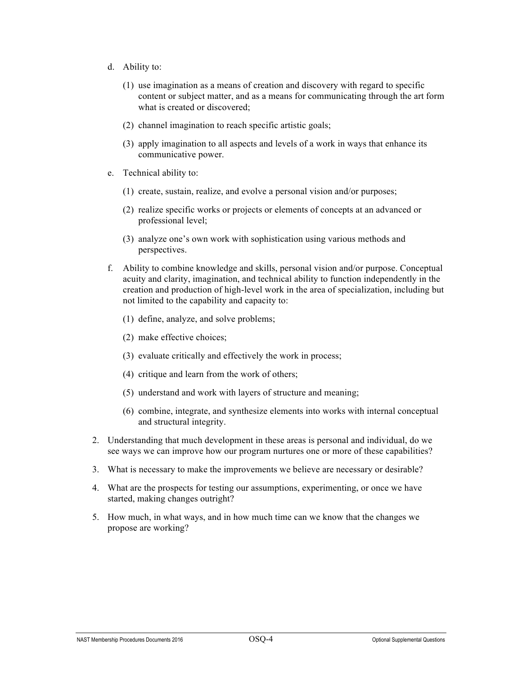- d. Ability to:
	- (1) use imagination as a means of creation and discovery with regard to specific content or subject matter, and as a means for communicating through the art form what is created or discovered;
	- (2) channel imagination to reach specific artistic goals;
	- (3) apply imagination to all aspects and levels of a work in ways that enhance its communicative power.
- e. Technical ability to:
	- (1) create, sustain, realize, and evolve a personal vision and/or purposes;
	- (2) realize specific works or projects or elements of concepts at an advanced or professional level;
	- (3) analyze one's own work with sophistication using various methods and perspectives.
- f. Ability to combine knowledge and skills, personal vision and/or purpose. Conceptual acuity and clarity, imagination, and technical ability to function independently in the creation and production of high-level work in the area of specialization, including but not limited to the capability and capacity to:
	- (1) define, analyze, and solve problems;
	- (2) make effective choices;
	- (3) evaluate critically and effectively the work in process;
	- (4) critique and learn from the work of others;
	- (5) understand and work with layers of structure and meaning;
	- (6) combine, integrate, and synthesize elements into works with internal conceptual and structural integrity.
- 2. Understanding that much development in these areas is personal and individual, do we see ways we can improve how our program nurtures one or more of these capabilities?
- 3. What is necessary to make the improvements we believe are necessary or desirable?
- 4. What are the prospects for testing our assumptions, experimenting, or once we have started, making changes outright?
- 5. How much, in what ways, and in how much time can we know that the changes we propose are working?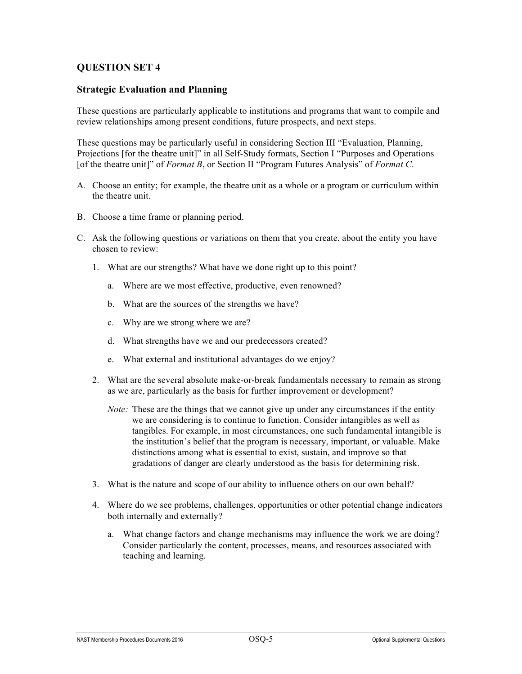#### **Strategic Evaluation and Planning**

These questions are particularly applicable to institutions and programs that want to compile and review relationships among present conditions, future prospects, and next steps.

These questions may be particularly useful in considering Section III "Evaluation, Planning, Projections [for the theatre unit]" in all Self-Study formats, Section I "Purposes and Operations [of the theatre unit]" of *Format B*, or Section II "Program Futures Analysis" of *Format C*.

- A. Choose an entity; for example, the theatre unit as a whole or a program or curriculum within the theatre unit.
- B. Choose a time frame or planning period.
- C. Ask the following questions or variations on them that you create, about the entity you have chosen to review:
	- 1. What are our strengths? What have we done right up to this point?
		- a. Where are we most effective, productive, even renowned?
		- b. What are the sources of the strengths we have?
		- c. Why are we strong where we are?
		- d. What strengths have we and our predecessors created?
		- e. What external and institutional advantages do we enjoy?
	- 2. What are the several absolute make-or-break fundamentals necessary to remain as strong as we are, particularly as the basis for further improvement or development?
		- *Note:* These are the things that we cannot give up under any circumstances if the entity we are considering is to continue to function. Consider intangibles as well as tangibles. For example, in most circumstances, one such fundamental intangible is the institution's belief that the program is necessary, important, or valuable. Make distinctions among what is essential to exist, sustain, and improve so that gradations of danger are clearly understood as the basis for determining risk.
	- 3. What is the nature and scope of our ability to influence others on our own behalf?
	- 4. Where do we see problems, challenges, opportunities or other potential change indicators both internally and externally?
		- a. What change factors and change mechanisms may influence the work we are doing? Consider particularly the content, processes, means, and resources associated with teaching and learning.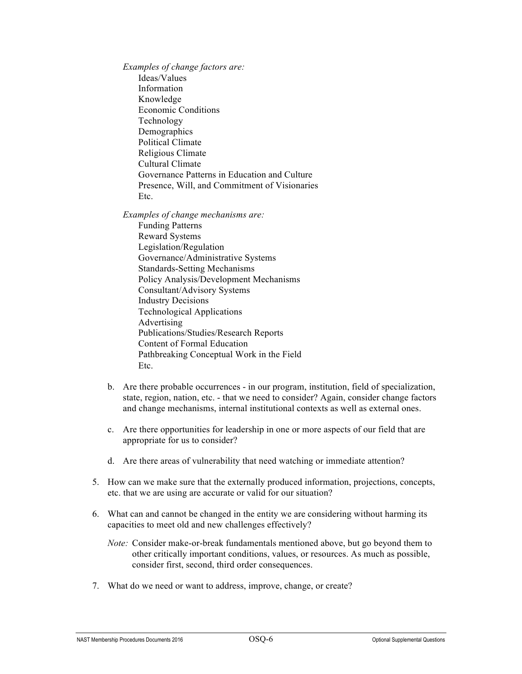*Examples of change factors are:* Ideas/Values Information Knowledge Economic Conditions Technology Demographics Political Climate Religious Climate Cultural Climate Governance Patterns in Education and Culture Presence, Will, and Commitment of Visionaries Etc.

*Examples of change mechanisms are:*

- Funding Patterns Reward Systems Legislation/Regulation Governance/Administrative Systems Standards-Setting Mechanisms Policy Analysis/Development Mechanisms Consultant/Advisory Systems Industry Decisions Technological Applications Advertising Publications/Studies/Research Reports Content of Formal Education Pathbreaking Conceptual Work in the Field Etc.
- b. Are there probable occurrences in our program, institution, field of specialization, state, region, nation, etc. - that we need to consider? Again, consider change factors and change mechanisms, internal institutional contexts as well as external ones.
- c. Are there opportunities for leadership in one or more aspects of our field that are appropriate for us to consider?
- d. Are there areas of vulnerability that need watching or immediate attention?
- 5. How can we make sure that the externally produced information, projections, concepts, etc. that we are using are accurate or valid for our situation?
- 6. What can and cannot be changed in the entity we are considering without harming its capacities to meet old and new challenges effectively?
	- *Note:* Consider make-or-break fundamentals mentioned above, but go beyond them to other critically important conditions, values, or resources. As much as possible, consider first, second, third order consequences.
- 7. What do we need or want to address, improve, change, or create?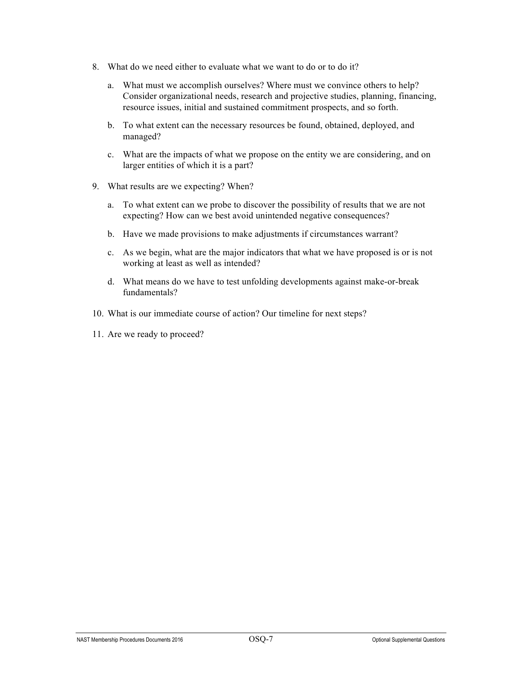- 8. What do we need either to evaluate what we want to do or to do it?
	- a. What must we accomplish ourselves? Where must we convince others to help? Consider organizational needs, research and projective studies, planning, financing, resource issues, initial and sustained commitment prospects, and so forth.
	- b. To what extent can the necessary resources be found, obtained, deployed, and managed?
	- c. What are the impacts of what we propose on the entity we are considering, and on larger entities of which it is a part?
- 9. What results are we expecting? When?
	- a. To what extent can we probe to discover the possibility of results that we are not expecting? How can we best avoid unintended negative consequences?
	- b. Have we made provisions to make adjustments if circumstances warrant?
	- c. As we begin, what are the major indicators that what we have proposed is or is not working at least as well as intended?
	- d. What means do we have to test unfolding developments against make-or-break fundamentals?
- 10. What is our immediate course of action? Our timeline for next steps?
- 11. Are we ready to proceed?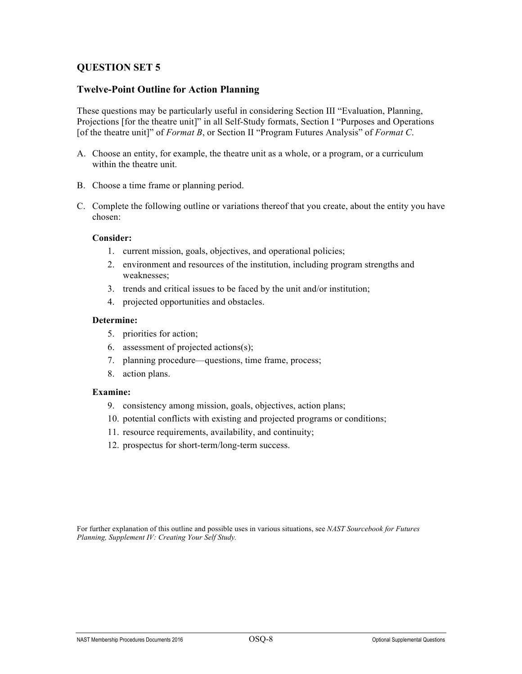#### **Twelve-Point Outline for Action Planning**

These questions may be particularly useful in considering Section III "Evaluation, Planning, Projections [for the theatre unit]" in all Self-Study formats, Section I "Purposes and Operations [of the theatre unit]" of *Format B*, or Section II "Program Futures Analysis" of *Format C*.

- A. Choose an entity, for example, the theatre unit as a whole, or a program, or a curriculum within the theatre unit.
- B. Choose a time frame or planning period.
- C. Complete the following outline or variations thereof that you create, about the entity you have chosen:

#### **Consider:**

- 1. current mission, goals, objectives, and operational policies;
- 2. environment and resources of the institution, including program strengths and weaknesses;
- 3. trends and critical issues to be faced by the unit and/or institution;
- 4. projected opportunities and obstacles.

#### **Determine:**

- 5. priorities for action;
- 6. assessment of projected actions(s);
- 7. planning procedure—questions, time frame, process;
- 8. action plans.

#### **Examine:**

- 9. consistency among mission, goals, objectives, action plans;
- 10. potential conflicts with existing and projected programs or conditions;
- 11. resource requirements, availability, and continuity;
- 12. prospectus for short-term/long-term success.

For further explanation of this outline and possible uses in various situations, see *NAST Sourcebook for Futures Planning, Supplement IV: Creating Your Self Study.*